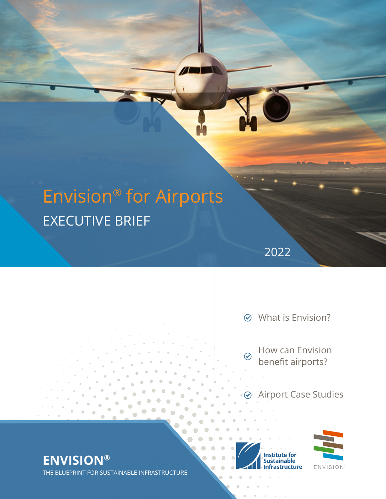# Envision® for Airports EXECUTIVE BRIEF

π

What is Envision?

 $\odot$ 

2022

How can Envision benefit airports?

Airport Case Studies

**Institute for** ustainable structure



**ENVISION®** THE BLUEPRINT FOR SUSTAINABLE INFRASTRUCTURE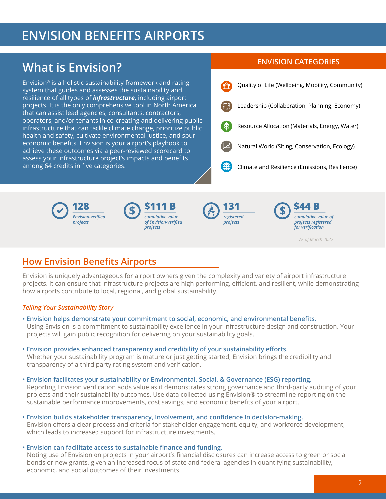## **ENVISION BENEFITS AIRPORTS**

## **ENVISION CATEGORIES What is Envision?**

Envision® is a holistic sustainability framework and rating system that guides and assesses the sustainability and resilience of all types of *infrastructure*, including airport projects. It is the only comprehensive tool in North America that can assist lead agencies, consultants, contractors, operators, and/or tenants in co-creating and delivering public infrastructure that can tackle climate change, prioritize public health and safety, cultivate environmental justice, and spur economic benefits. Envision is your airport's playbook to achieve these outcomes via a peer-reviewed scorecard to assess your infrastructure project's impacts and benefits among 64 credits in five categories.











*As of March 2022*

### **How Envision Benefits Airports**

Envision is uniquely advantageous for airport owners given the complexity and variety of airport infrastructure projects. It can ensure that infrastructure projects are high performing, efficient, and resilient, while demonstrating how airports contribute to local, regional, and global sustainability.

#### *Telling Your Sustainability Story*

- **Envision helps demonstrate your commitment to social, economic, and environmental benefits.** Using Envision is a commitment to sustainability excellence in your infrastructure design and construction. Your projects will gain public recognition for delivering on your sustainability goals.
- **Envision provides enhanced transparency and credibility of your sustainability efforts.** Whether your sustainability program is mature or just getting started, Envision brings the credibility and transparency of a third-party rating system and verification.
- **Envision facilitates your sustainability or Environmental, Social, & Governance (ESG) reporting.** Reporting Envision verification adds value as it demonstrates strong governance and third-party auditing of your projects and their sustainability outcomes. Use data collected using Envision® to streamline reporting on the sustainable performance improvements, cost savings, and economic benefits of your airport.
- **Envision builds stakeholder transparency, involvement, and confidence in decision-making.** Envision offers a clear process and criteria for stakeholder engagement, equity, and workforce development, which leads to increased support for infrastructure investments.
- **Envision can facilitate access to sustainable finance and funding.** Noting use of Envision on projects in your airport's financial disclosures can increase access to green or social bonds or new grants, given an increased focus of state and federal agencies in quantifying sustainability, economic, and social outcomes of their investments.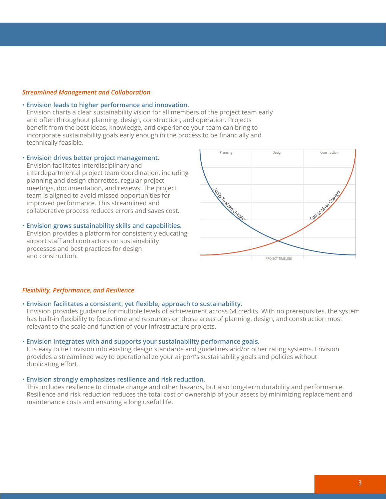#### *Streamlined Management and Collaboration*

#### • **Envision leads to higher performance and innovation.**

Envision charts a clear sustainability vision for all members of the project team early and often throughout planning, design, construction, and operation. Projects benefit from the best ideas, knowledge, and experience your team can bring to incorporate sustainability goals early enough in the process to be financially and technically feasible.

• **Envision drives better project management.** Envision facilitates interdisciplinary and interdepartmental project team coordination, including planning and design charrettes, regular project meetings, documentation, and reviews. The project team is aligned to avoid missed opportunities for improved performance. This streamlined and collaborative process reduces errors and saves cost.

• **Envision grows sustainability skills and capabilities.** Envision provides a platform for consistently educating airport staff and contractors on sustainability processes and best practices for design and construction.



#### *Flexibility, Performance, and Resilience*

#### **• Envision facilitates a consistent, yet flexible, approach to sustainability.**

Envision provides guidance for multiple levels of achievement across 64 credits. With no prerequisites, the system has built-in flexibility to focus time and resources on those areas of planning, design, and construction most relevant to the scale and function of your infrastructure projects.

#### • **Envision integrates with and supports your sustainability performance goals.**

It is easy to tie Envision into existing design standards and guidelines and/or other rating systems. Envision provides a streamlined way to operationalize your airport's sustainability goals and policies without duplicating effort.

#### • **Envision strongly emphasizes resilience and risk reduction.**

This includes resilience to climate change and other hazards, but also long-term durability and performance. Resilience and risk reduction reduces the total cost of ownership of your assets by minimizing replacement and maintenance costs and ensuring a long useful life.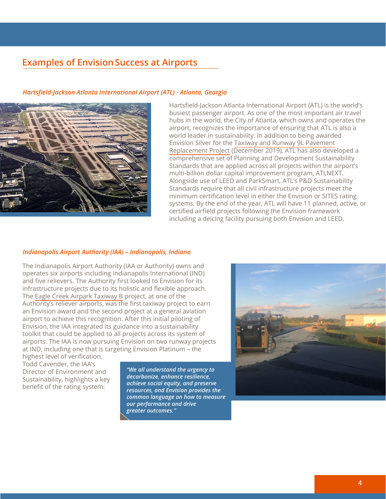#### **Examples of Envision Success at Airports**

#### *Hartsfield-Jackson Atlanta International Airport (ATL) - Atlanta, Georgia*



Hartsfield-Jackson Atlanta International Airport (ATL) is the world's busiest passenger airport. As one of the most important air travel hubs in the world, the City of Atlanta, which owns and operates the airport, recognizes the importance of ensuring that ATL is also a world leader in sustainability. In addition to being awarded Envision Silver for the [Taxiway and Runway 9L Pavement](https://sustainableinfrastructure.org/project-awards/atl-taxiway-and-runway-9l-pavement-replacement/)  [Replacement Project](https://sustainableinfrastructure.org/project-awards/atl-taxiway-and-runway-9l-pavement-replacement/) (December 2019), ATL has also developed a comprehensive set of Planning and Development Sustainability Standards that are applied across all projects within the airport's multi-billion dollar capital improvement program, ATLNEXT. Alongside use of LEED and ParkSmart, ATL's P&D Sustainability Standards require that all civil infrastructure projects meet the minimum certification level in either the Envision or SITES rating systems. By the end of the year, ATL will have 11 planned, active, or certified airfield projects following the Envision framework including a deicing facility pursuing both Envision and LEED.

#### *Indianapolis Airport Authority (IAA) – Indianapolis, Indiana*

The Indianapolis Airport Authority (IAA or Authority) owns and operates six airports including Indianapolis International (IND) and five relievers. The Authority first looked to Envision for its infrastructure projects due to its holistic and flexible approach. The [Eagle Creek Airpark Taxiway B](https://sustainableinfrastructure.org/project-awards/eagle-creek-airpark-taxiway-b/) project, at one of the Authority's reliever airports, was the first taxiway project to earn an Envision award and the second project at a general aviation airport to achieve this recognition. After this initial piloting of Envision, the IAA integrated its guidance into a sustainability toolkit that could be applied to all projects across its system of airports. The IAA is now pursuing Envision on two runway projects at IND, including one that is targeting Envision Platinum – the

highest level of verification. Todd Cavender, the IAA's Director of Environment and Sustainability, highlights a key benefit of the rating system:

*"We all understand the urgency to decarbonize, enhance resilience, achieve social equity, and preserve resources, and Envision provides the common language on how to measure our performance and drive greater outcomes."*